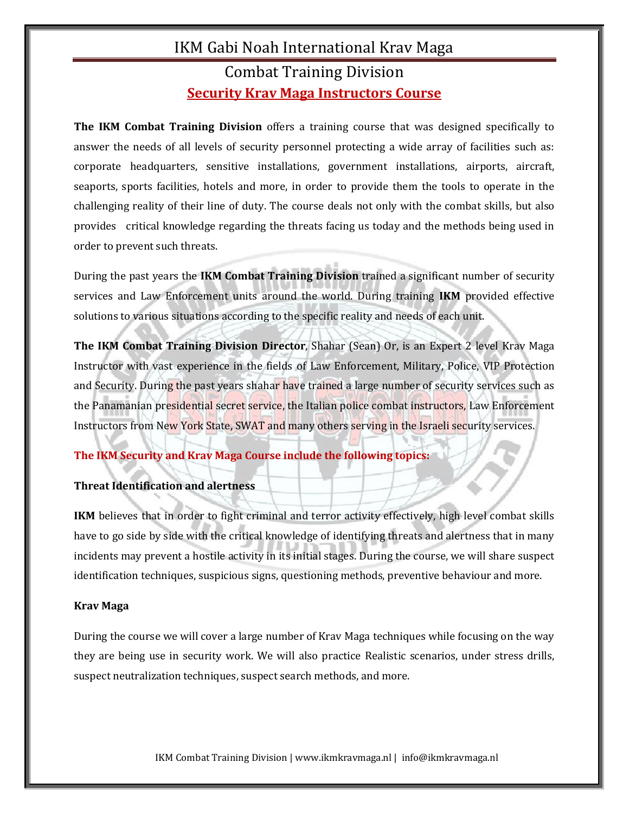## IKM Gabi Noah International Krav Maga Combat Training Division **Security Krav Maga Instructors Course**

**The IKM Combat Training Division** offers a training course that was designed specifically to answer the needs of all levels of security personnel protecting a wide array of facilities such as: corporate headquarters, sensitive installations, government installations, airports, aircraft, seaports, sports facilities, hotels and more, in order to provide them the tools to operate in the challenging reality of their line of duty. The course deals not only with the combat skills, but also provides critical knowledge regarding the threats facing us today and the methods being used in order to prevent such threats.

During the past years the **IKM Combat Training Division** trained a significant number of security services and Law Enforcement units around the world. During training **IKM** provided effective solutions to various situations according to the specific reality and needs of each unit.

**The IKM Combat Training Division Director**, Shahar (Sean) Or, is an Expert 2 level Krav Maga Instructor with vast experience in the fields of Law Enforcement, Military, Police, VIP Protection and Security. During the past years shahar have trained a large number of security services such as the Panamanian presidential secret service, the Italian police combat instructors, Law Enforcement Instructors from New York State, SWAT and many others serving in the Israeli security services.

## **The IKM Security and Krav Maga Course include the following topics:**

### **Threat Identification and alertness**

**IKM** believes that in order to fight criminal and terror activity effectively, high level combat skills have to go side by side with the critical knowledge of identifying threats and alertness that in many incidents may prevent a hostile activity in its initial stages. During the course, we will share suspect identification techniques, suspicious signs, questioning methods, preventive behaviour and more.

### **Krav Maga**

During the course we will cover a large number of Krav Maga techniques while focusing on the way they are being use in security work. We will also practice Realistic scenarios, under stress drills, suspect neutralization techniques, suspect search methods, and more.

IKM Combat Training Division | www.ikmkravmaga.nl | info@ikmkravmaga.nl